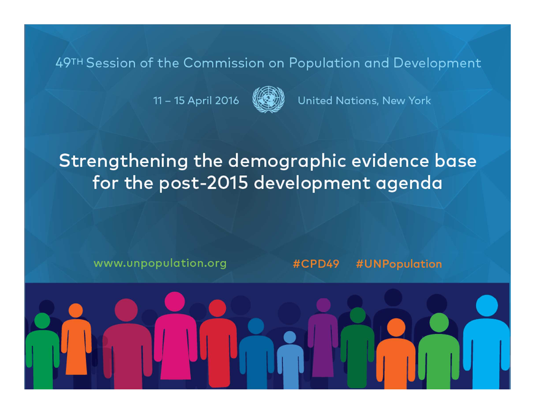11 - 15 April 2016



United Nations, New York

### Strengthening the demographic evidence base for the post-2015 development agenda

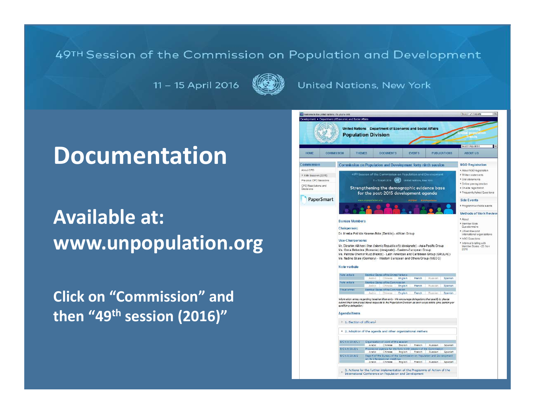11 - 15 April 2016



#### **United Nations, New York**

### **Documentation**

## **Available at:www.unpopulation.org**

**Click on "Commission" and then "49th session (2016)"**

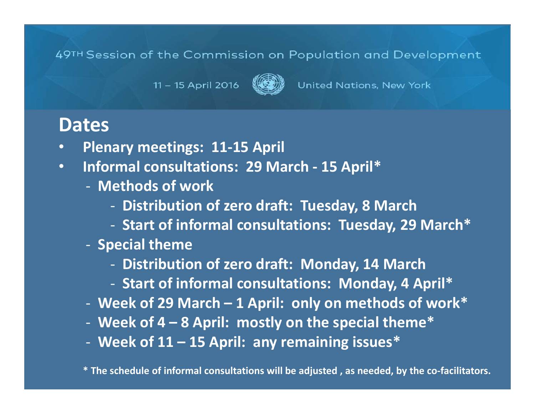United Nations, New York

11 - 15 April 2016

### **Dates**

- **Plenary meetings: 11-15 April** •
- $\bullet$  **Informal consultations: 29 March - 15 April\***
	- **Methods of work**
		- **Distribution of zero draft: Tuesday, 8 March**
		- **Start of informal consultations: Tuesday, 29 March\***
	- **Special theme**
		- **Distribution of zero draft: Monday, 14 March**
		- **Start of informal consultations: Monday, 4 April\***
	- **Week of 29 March – 1 April: only on methods of work\***
	- **Week of 4 – 8 April: mostly on the special theme\***
	- **Week of 11 – 15 April: any remaining issues\***

**\* The schedule of informal consultations will be adjusted , as needed, by the co-facilitators.**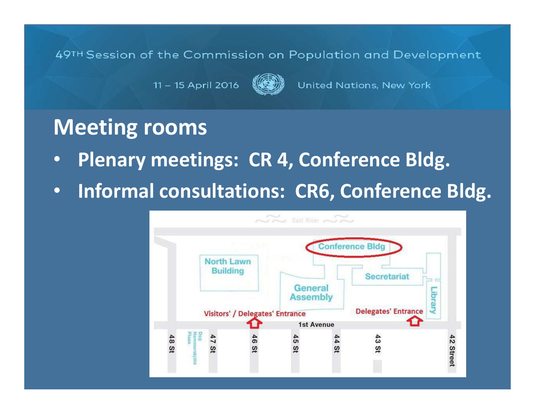11 - 15 April 2016

United Nations, New York

### **Meeting rooms**

- •**Plenary meetings: CR 4, Conference Bldg.**
- •**Informal consultations: CR6, Conference Bldg.**

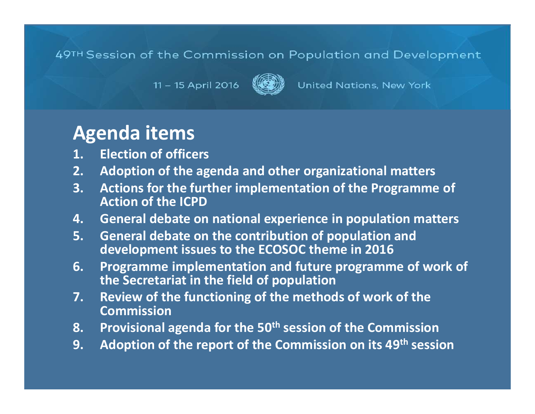11 - 15 April 2016



United Nations, New York

### **Agenda items**

- **1. Election of officers**
- **2. Adoption of the agenda and other organizational matters**
- **3. Actions for the further implementation of the Programme of Action of the ICPD**
- **4. General debate on national experience in population matters**
- **5. General debate on the contribution of population and development issues to the ECOSOC theme in 2016**
- **6. Programme implementation and future programme of work of the Secretariat in the field of population**
- **7. Review of the functioning of the methods of work of the Commission**
- **8. Provisional agenda for the 50th session of the Commission**
- **9. Adoption of the report of the Commission on its 49th session**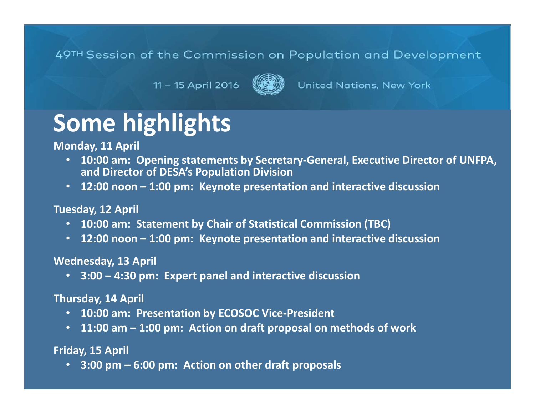11 - 15 April 2016



United Nations, New York

## **Some highlights**

**Monday, 11 April** 

- **10:00 am: Opening statements by Secretary-General, Executive Director of UNFPA, and Director of DESA's Population Division**
- **12:00 noon – 1:00 pm: Keynote presentation and interactive discussion**

#### **Tuesday, 12 April**

- **10:00 am: Statement by Chair of Statistical Commission (TBC)**
- **12:00 noon – 1:00 pm: Keynote presentation and interactive discussion**

#### **Wednesday, 13 April**

• **3:00 – 4:30 pm: Expert panel and interactive discussion**

#### **Thursday, 14 April**

- **10:00 am: Presentation by ECOSOC Vice-President**
- **11:00 am – 1:00 pm: Action on draft proposal on methods of work**

#### **Friday, 15 April**

• **3:00 pm – 6:00 pm: Action on other draft proposals**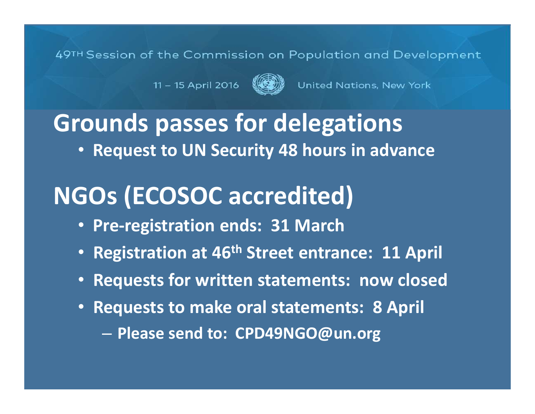11 - 15 April 2016



United Nations, New York

## **Grounds passes for delegations**

• **Request to UN Security 48 hours in advance**

## **NGOs (ECOSOC accredited)**

- **Pre-registration ends: 31 March**
- **Registration at 46th Street entrance: 11 April**
- **Requests for written statements: now closed**
- **Requests to make oral statements: 8 April** –**Please send to: CPD49NGO@un.org**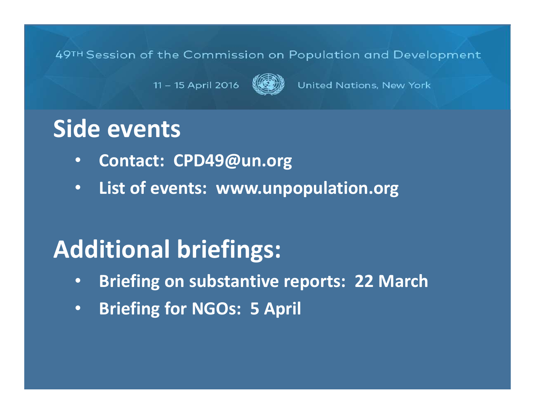11 - 15 April 2016

United Nations, New York

## **Side events**

- $\bullet$ **Contact: CPD49@un.org**
- •**List of events: www.unpopulation.org**

## **Additional briefings:**

- $\bullet$ **Briefing on substantive reports: 22 March**
- •**Briefing for NGOs: 5 April**